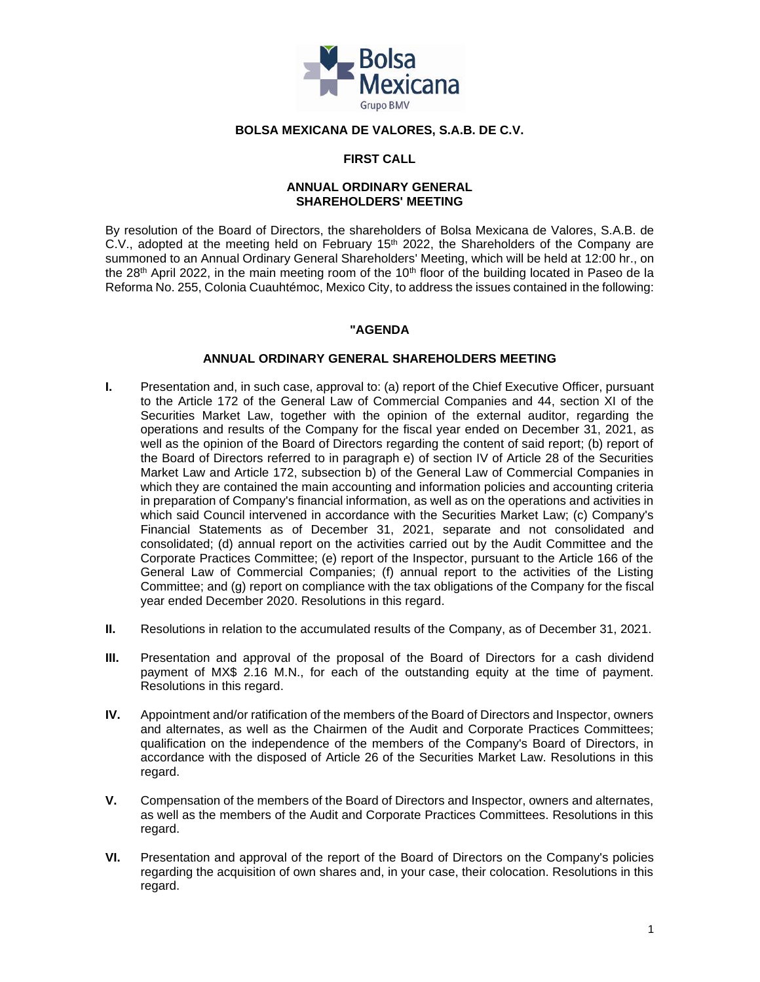

# **BOLSA MEXICANA DE VALORES, S.A.B. DE C.V.**

# **FIRST CALL**

### **ANNUAL ORDINARY GENERAL SHAREHOLDERS' MEETING**

By resolution of the Board of Directors, the shareholders of Bolsa Mexicana de Valores, S.A.B. de C.V., adopted at the meeting held on February 15<sup>th</sup> 2022, the Shareholders of the Company are summoned to an Annual Ordinary General Shareholders' Meeting, which will be held at 12:00 hr., on the 28<sup>th</sup> April 2022, in the main meeting room of the 10<sup>th</sup> floor of the building located in Paseo de la Reforma No. 255, Colonia Cuauhtémoc, Mexico City, to address the issues contained in the following:

### **"AGENDA**

### **ANNUAL ORDINARY GENERAL SHAREHOLDERS MEETING**

- **I.** Presentation and, in such case, approval to: (a) report of the Chief Executive Officer, pursuant to the Article 172 of the General Law of Commercial Companies and 44, section XI of the Securities Market Law, together with the opinion of the external auditor, regarding the operations and results of the Company for the fiscal year ended on December 31, 2021, as well as the opinion of the Board of Directors regarding the content of said report; (b) report of the Board of Directors referred to in paragraph e) of section IV of Article 28 of the Securities Market Law and Article 172, subsection b) of the General Law of Commercial Companies in which they are contained the main accounting and information policies and accounting criteria in preparation of Company's financial information, as well as on the operations and activities in which said Council intervened in accordance with the Securities Market Law; (c) Company's Financial Statements as of December 31, 2021, separate and not consolidated and consolidated; (d) annual report on the activities carried out by the Audit Committee and the Corporate Practices Committee; (e) report of the Inspector, pursuant to the Article 166 of the General Law of Commercial Companies; (f) annual report to the activities of the Listing Committee; and (g) report on compliance with the tax obligations of the Company for the fiscal year ended December 2020. Resolutions in this regard.
- **II.** Resolutions in relation to the accumulated results of the Company, as of December 31, 2021.
- **III.** Presentation and approval of the proposal of the Board of Directors for a cash dividend payment of MX\$ 2.16 M.N., for each of the outstanding equity at the time of payment. Resolutions in this regard.
- **IV.** Appointment and/or ratification of the members of the Board of Directors and Inspector, owners and alternates, as well as the Chairmen of the Audit and Corporate Practices Committees; qualification on the independence of the members of the Company's Board of Directors, in accordance with the disposed of Article 26 of the Securities Market Law. Resolutions in this regard.
- **V.** Compensation of the members of the Board of Directors and Inspector, owners and alternates, as well as the members of the Audit and Corporate Practices Committees. Resolutions in this regard.
- **VI.** Presentation and approval of the report of the Board of Directors on the Company's policies regarding the acquisition of own shares and, in your case, their colocation. Resolutions in this regard.